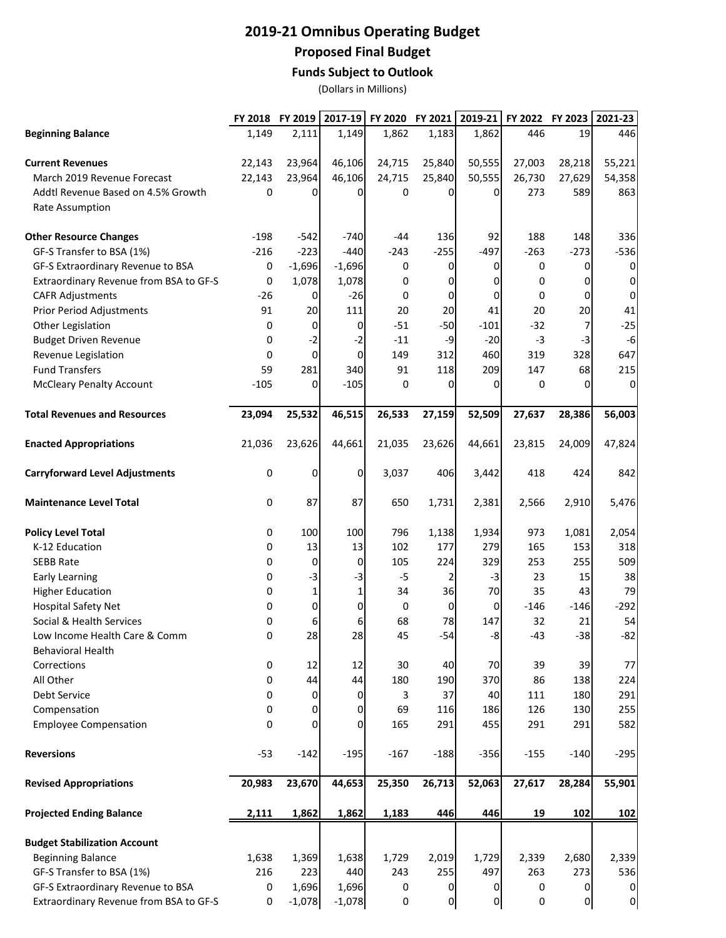## **2019-21 Omnibus Operating Budget Proposed Final Budget**

## **Funds Subject to Outlook**

(Dollars in Millions)

|                                        |        | FY 2018 FY 2019 | 2017-19  |        | FY 2020 FY 2021 | $2019-21$      | FY 2022 | FY 2023        | 2021-23        |
|----------------------------------------|--------|-----------------|----------|--------|-----------------|----------------|---------|----------------|----------------|
| <b>Beginning Balance</b>               | 1,149  | 2,111           | 1,149    | 1,862  | 1,183           | 1,862          | 446     | 19             | 446            |
| <b>Current Revenues</b>                | 22,143 | 23,964          | 46,106   | 24,715 | 25,840          | 50,555         | 27,003  | 28,218         | 55,221         |
| March 2019 Revenue Forecast            | 22,143 | 23,964          | 46,106   | 24,715 | 25,840          | 50,555         | 26,730  | 27,629         | 54,358         |
| Addtl Revenue Based on 4.5% Growth     | 0      | 0               | 0        | 0      | <sup>0</sup>    | $\overline{0}$ | 273     | 589            | 863            |
|                                        |        |                 |          |        |                 |                |         |                |                |
| Rate Assumption                        |        |                 |          |        |                 |                |         |                |                |
| <b>Other Resource Changes</b>          | $-198$ | $-542$          | $-740$   | -44    | 136             | 92             | 188     | 148            | 336            |
| GF-S Transfer to BSA (1%)              | $-216$ | $-223$          | $-440$   | $-243$ | $-255$          | $-497$         | $-263$  | $-273$         | $-536$         |
| GF-S Extraordinary Revenue to BSA      | 0      | $-1,696$        | $-1,696$ | 0      | 0               | $\overline{0}$ | 0       | $\overline{0}$ | 0              |
| Extraordinary Revenue from BSA to GF-S | 0      | 1,078           | 1,078    | 0      | 0               | $\overline{0}$ | 0       | $\mathbf{O}$   | $\Omega$       |
| <b>CAFR Adjustments</b>                | $-26$  | 0               | $-26$    | 0      | 0               | $\mathbf 0$    | 0       | $\mathbf{O}$   | 0              |
| <b>Prior Period Adjustments</b>        | 91     | 20              | 111      | 20     | 20              | 41             | 20      | 20             | 41             |
| Other Legislation                      | 0      | 0               | 0        | $-51$  | $-50$           | $-101$         | $-32$   | $\overline{7}$ | $-25$          |
| <b>Budget Driven Revenue</b>           | 0      | $-2$            | $-2$     | $-11$  | -9              | $-20$          | $-3$    | $-3$           | $-6$           |
| Revenue Legislation                    | 0      | $\mathbf 0$     | 0        | 149    | 312             | 460            | 319     | 328            | 647            |
| <b>Fund Transfers</b>                  | 59     | 281             | 340      | 91     | 118             | 209            | 147     | 68             | 215            |
| <b>McCleary Penalty Account</b>        | $-105$ | 0               | $-105$   | 0      | $\Omega$        | $\mathbf{0}$   | 0       | $\Omega$       | O              |
| <b>Total Revenues and Resources</b>    | 23,094 | 25,532          | 46,515   | 26,533 | 27,159          | 52,509         | 27,637  | 28,386         | 56,003         |
| <b>Enacted Appropriations</b>          | 21,036 | 23,626          | 44,661   | 21,035 | 23,626          | 44,661         | 23,815  | 24,009         | 47,824         |
|                                        |        |                 |          |        |                 |                |         |                |                |
| <b>Carryforward Level Adjustments</b>  | 0      | 0               | 0        | 3,037  | 406             | 3,442          | 418     | 424            | 842            |
| <b>Maintenance Level Total</b>         | 0      | 87              | 87       | 650    | 1,731           | 2,381          | 2,566   | 2,910          | 5,476          |
| <b>Policy Level Total</b>              | 0      | 100             | 100      | 796    | 1,138           | 1,934          | 973     | 1,081          | 2,054          |
| K-12 Education                         | 0      | 13              | 13       | 102    | 177             | 279            | 165     | 153            | 318            |
| <b>SEBB Rate</b>                       | 0      | 0               | 0        | 105    | 224             | 329            | 253     | 255            | 509            |
| <b>Early Learning</b>                  | 0      | $-3$            | $-3$     | $-5$   | 2               | $-3$           | 23      | 15             | 38             |
| <b>Higher Education</b>                | 0      | 1               | 1        | 34     | 36              | 70             | 35      | 43             | 79             |
| <b>Hospital Safety Net</b>             | 0      | 0               | 0        | 0      | 0               | $\overline{0}$ | $-146$  | $-146$         | $-292$         |
| Social & Health Services               | 0      | 6               | 6        | 68     | 78              | 147            | 32      | 21             | 54             |
| Low Income Health Care & Comm          | 0      | 28              | 28       | 45     | $-54$           | $-8$           | $-43$   | $-38$          | $-82$          |
| <b>Behavioral Health</b>               |        |                 |          |        |                 |                |         |                |                |
| Corrections                            | 0      | 12              | 12       | 30     | 40              | 70             | 39      | 39             | 77             |
| All Other                              | 0      | 44              | 44       | 180    | 190             | 370            | 86      | 138            | 224            |
| Debt Service                           | 0      | 0               | 0        | 3      | 37              | 40             | 111     | 180            | 291            |
| Compensation                           | 0      | 0               | 0        | 69     | 116             | 186            | 126     | 130            | 255            |
| <b>Employee Compensation</b>           | 0      | $\Omega$        | $\Omega$ | 165    | 291             | 455            | 291     | 291            | 582            |
| <b>Reversions</b>                      | $-53$  | $-142$          | $-195$   | $-167$ | $-188$          | $-356$         | $-155$  | $-140$         | $-295$         |
| <b>Revised Appropriations</b>          | 20,983 | 23,670          | 44,653   | 25,350 | 26,713          | 52,063         | 27,617  | 28,284         | 55,901         |
| <b>Projected Ending Balance</b>        | 2,111  | 1,862           | 1,862    | 1,183  | 446             | 446            | 19      | 102            | 102            |
| <b>Budget Stabilization Account</b>    |        |                 |          |        |                 |                |         |                |                |
| <b>Beginning Balance</b>               | 1,638  | 1,369           | 1,638    | 1,729  | 2,019           | 1,729          | 2,339   | 2,680          | 2,339          |
| GF-S Transfer to BSA (1%)              | 216    | 223             | 440      | 243    | 255             | 497            | 263     | 273            | 536            |
| GF-S Extraordinary Revenue to BSA      | 0      | 1,696           | 1,696    | 0      | 0               | $\mathbf{0}$   | 0       | $\Omega$       | 0              |
| Extraordinary Revenue from BSA to GF-S | 0      | $-1,078$        | $-1,078$ | 0      | 0               | 0              | 0       | $\overline{0}$ | $\overline{0}$ |
|                                        |        |                 |          |        |                 |                |         |                |                |